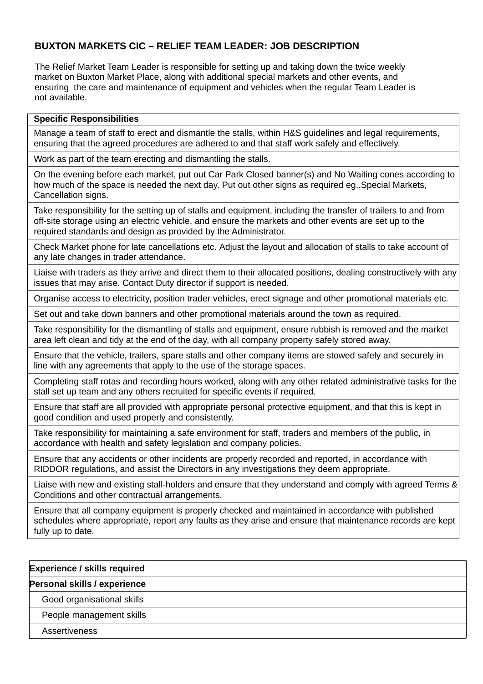# **BUXTON MARKETS CIC – RELIEF TEAM LEADER: JOB DESCRIPTION**

The Relief Market Team Leader is responsible for setting up and taking down the twice weekly market on Buxton Market Place, along with additional special markets and other events, and ensuring the care and maintenance of equipment and vehicles when the regular Team Leader is not available.

## **Specific Responsibilities**

Manage a team of staff to erect and dismantle the stalls, within H&S guidelines and legal requirements, ensuring that the agreed procedures are adhered to and that staff work safely and effectively.

Work as part of the team erecting and dismantling the stalls.

On the evening before each market, put out Car Park Closed banner(s) and No Waiting cones according to how much of the space is needed the next day. Put out other signs as required eg..Special Markets, Cancellation signs.

Take responsibility for the setting up of stalls and equipment, including the transfer of trailers to and from off-site storage using an electric vehicle, and ensure the markets and other events are set up to the required standards and design as provided by the Administrator.

Check Market phone for late cancellations etc. Adjust the layout and allocation of stalls to take account of any late changes in trader attendance.

Liaise with traders as they arrive and direct them to their allocated positions, dealing constructively with any issues that may arise. Contact Duty director if support is needed.

Organise access to electricity, position trader vehicles, erect signage and other promotional materials etc.

Set out and take down banners and other promotional materials around the town as required.

Take responsibility for the dismantling of stalls and equipment, ensure rubbish is removed and the market area left clean and tidy at the end of the day, with all company property safely stored away.

Ensure that the vehicle, trailers, spare stalls and other company items are stowed safely and securely in line with any agreements that apply to the use of the storage spaces.

Completing staff rotas and recording hours worked, along with any other related administrative tasks for the stall set up team and any others recruited for specific events if required.

Ensure that staff are all provided with appropriate personal protective equipment, and that this is kept in good condition and used properly and consistently.

Take responsibility for maintaining a safe environment for staff, traders and members of the public, in accordance with health and safety legislation and company policies.

Ensure that any accidents or other incidents are properly recorded and reported, in accordance with RIDDOR regulations, and assist the Directors in any investigations they deem appropriate.

Liaise with new and existing stall-holders and ensure that they understand and comply with agreed Terms & Conditions and other contractual arrangements.

Ensure that all company equipment is properly checked and maintained in accordance with published schedules where appropriate, report any faults as they arise and ensure that maintenance records are kept fully up to date.

| <b>Experience / skills required</b> |  |
|-------------------------------------|--|
| Personal skills / experience        |  |
| Good organisational skills          |  |
| People management skills            |  |
| <b>Assertiveness</b>                |  |